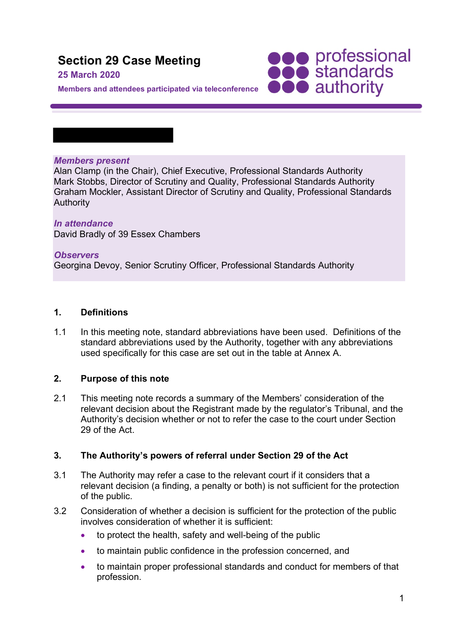# **Section 29 Case Meeting**

#### **25 March 2020**

**SOO professional**<br> **SOO standards**<br> **OOO** authority

**Members and attendees participated via teleconference** 

#### *Members present*

Alan Clamp (in the Chair), Chief Executive, Professional Standards Authority Mark Stobbs, Director of Scrutiny and Quality, Professional Standards Authority Graham Mockler, Assistant Director of Scrutiny and Quality, Professional Standards **Authority** 

# *In attendance*

David Bradly of 39 Essex Chambers

#### *Observers*

Georgina Devoy, Senior Scrutiny Officer, Professional Standards Authority

## **1. Definitions**

1.1 In this meeting note, standard abbreviations have been used. Definitions of the standard abbreviations used by the Authority, together with any abbreviations used specifically for this case are set out in the table at Annex A.

## **2. Purpose of this note**

2.1 This meeting note records a summary of the Members' consideration of the relevant decision about the Registrant made by the regulator's Tribunal, and the Authority's decision whether or not to refer the case to the court under Section 29 of the Act.

## **3. The Authority's powers of referral under Section 29 of the Act**

- 3.1 The Authority may refer a case to the relevant court if it considers that a relevant decision (a finding, a penalty or both) is not sufficient for the protection of the public.
- 3.2 Consideration of whether a decision is sufficient for the protection of the public involves consideration of whether it is sufficient:
	- to protect the health, safety and well-being of the public
	- to maintain public confidence in the profession concerned, and
	- to maintain proper professional standards and conduct for members of that profession.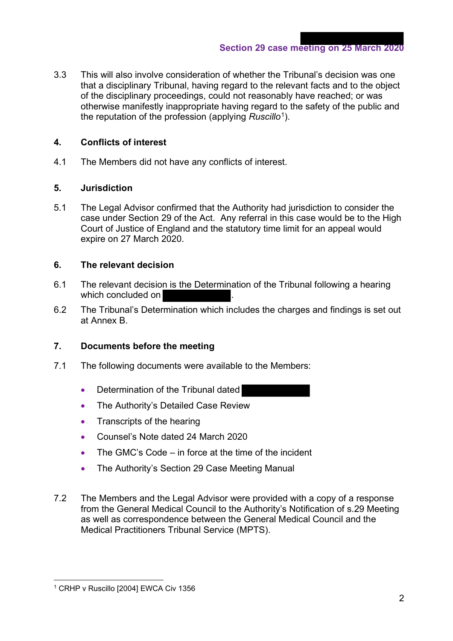3.3 This will also involve consideration of whether the Tribunal's decision was one that a disciplinary Tribunal, having regard to the relevant facts and to the object of the disciplinary proceedings, could not reasonably have reached; or was otherwise manifestly inappropriate having regard to the safety of the public and the reputation of the profession (applying *Ruscillo*1).

# **4. Conflicts of interest**

4.1 The Members did not have any conflicts of interest.

# **5. Jurisdiction**

5.1 The Legal Advisor confirmed that the Authority had jurisdiction to consider the case under Section 29 of the Act. Any referral in this case would be to the High Court of Justice of England and the statutory time limit for an appeal would expire on 27 March 2020.

# **6. The relevant decision**

- 6.1 The relevant decision is the Determination of the Tribunal following a hearing which concluded on
- 6.2 The Tribunal's Determination which includes the charges and findings is set out at Annex B.

# **7. Documents before the meeting**

- 7.1 The following documents were available to the Members:
	- Determination of the Tribunal dated
	- The Authority's Detailed Case Review
	- Transcripts of the hearing
	- Counsel's Note dated 24 March 2020
	- The GMC's Code in force at the time of the incident
	- The Authority's Section 29 Case Meeting Manual
- 7.2 The Members and the Legal Advisor were provided with a copy of a response from the General Medical Council to the Authority's Notification of s.29 Meeting as well as correspondence between the General Medical Council and the Medical Practitioners Tribunal Service (MPTS).

<sup>&</sup>lt;sup>1</sup> CRHP v Ruscillo [2004] EWCA Civ 1356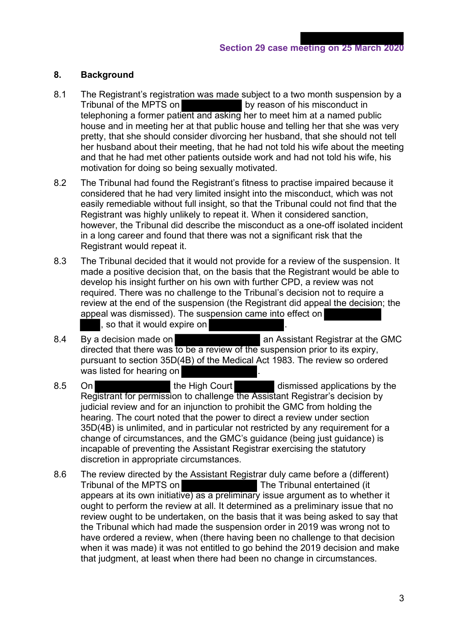# **8. Background**

- 8.1 The Registrant's registration was made subject to a two month suspension by a Tribunal of the MPTS on by reason of his misconduct in telephoning a former patient and asking her to meet him at a named public house and in meeting her at that public house and telling her that she was very pretty, that she should consider divorcing her husband, that she should not tell her husband about their meeting, that he had not told his wife about the meeting and that he had met other patients outside work and had not told his wife, his motivation for doing so being sexually motivated.
- 8.2 The Tribunal had found the Registrant's fitness to practise impaired because it considered that he had very limited insight into the misconduct, which was not easily remediable without full insight, so that the Tribunal could not find that the Registrant was highly unlikely to repeat it. When it considered sanction, however, the Tribunal did describe the misconduct as a one-off isolated incident in a long career and found that there was not a significant risk that the Registrant would repeat it.
- 8.3 The Tribunal decided that it would not provide for a review of the suspension. It made a positive decision that, on the basis that the Registrant would be able to develop his insight further on his own with further CPD, a review was not required. There was no challenge to the Tribunal's decision not to require a review at the end of the suspension (the Registrant did appeal the decision; the appeal was dismissed). The suspension came into effect on , so that it would expire on
- 8.4 By a decision made on **Assistant Registrar at the GMC** directed that there was to be a review of the suspension prior to its expiry, pursuant to section 35D(4B) of the Medical Act 1983. The review so ordered was listed for hearing on
- 8.5 On the High Court dismissed applications by the Registrant for permission to challenge the Assistant Registrar's decision by judicial review and for an injunction to prohibit the GMC from holding the hearing. The court noted that the power to direct a review under section 35D(4B) is unlimited, and in particular not restricted by any requirement for a change of circumstances, and the GMC's guidance (being just guidance) is incapable of preventing the Assistant Registrar exercising the statutory discretion in appropriate circumstances.
- 8.6 The review directed by the Assistant Registrar duly came before a (different) Tribunal of the MPTS on The Tribunal entertained (it appears at its own initiative) as a preliminary issue argument as to whether it ought to perform the review at all. It determined as a preliminary issue that no review ought to be undertaken, on the basis that it was being asked to say that the Tribunal which had made the suspension order in 2019 was wrong not to have ordered a review, when (there having been no challenge to that decision when it was made) it was not entitled to go behind the 2019 decision and make that judgment, at least when there had been no change in circumstances.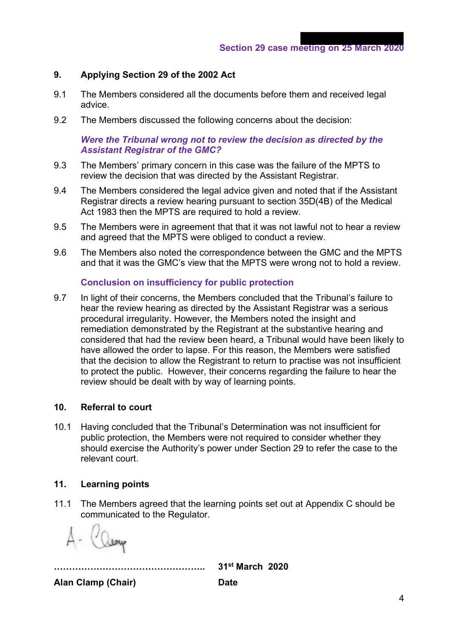# **9. Applying Section 29 of the 2002 Act**

- 9.1 The Members considered all the documents before them and received legal advice.
- 9.2 The Members discussed the following concerns about the decision:

# *Were the Tribunal wrong not to review the decision as directed by the Assistant Registrar of the GMC?*

- 9.3 The Members' primary concern in this case was the failure of the MPTS to review the decision that was directed by the Assistant Registrar.
- 9.4 The Members considered the legal advice given and noted that if the Assistant Registrar directs a review hearing pursuant to section 35D(4B) of the Medical Act 1983 then the MPTS are required to hold a review.
- 9.5 The Members were in agreement that that it was not lawful not to hear a review and agreed that the MPTS were obliged to conduct a review.
- 9.6 The Members also noted the correspondence between the GMC and the MPTS and that it was the GMC's view that the MPTS were wrong not to hold a review.

## **Conclusion on insufficiency for public protection**

9.7 In light of their concerns, the Members concluded that the Tribunal's failure to hear the review hearing as directed by the Assistant Registrar was a serious procedural irregularity. However, the Members noted the insight and remediation demonstrated by the Registrant at the substantive hearing and considered that had the review been heard, a Tribunal would have been likely to have allowed the order to lapse. For this reason, the Members were satisfied that the decision to allow the Registrant to return to practise was not insufficient to protect the public. However, their concerns regarding the failure to hear the review should be dealt with by way of learning points.

## **10. Referral to court**

10.1 Having concluded that the Tribunal's Determination was not insufficient for public protection, the Members were not required to consider whether they should exercise the Authority's power under Section 29 to refer the case to the relevant court.

## **11. Learning points**

11.1 The Members agreed that the learning points set out at Appendix C should be communicated to the Regulator.

**………………………………………….. 31st March 2020** 

**Alan Clamp (Chair) Date**

4